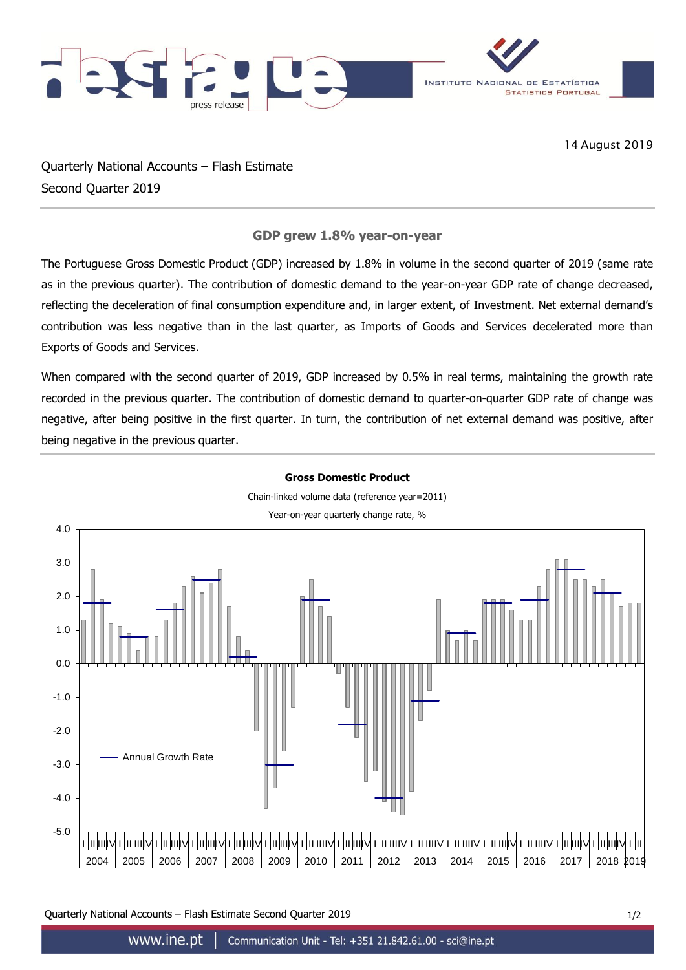

14 August 2019

Quarterly National Accounts – Flash Estimate Second Quarter 2019

## **GDP grew 1.8% year-on-year**

The Portuguese Gross Domestic Product (GDP) increased by 1.8% in volume in the second quarter of 2019 (same rate as in the previous quarter). The contribution of domestic demand to the year-on-year GDP rate of change decreased, reflecting the deceleration of final consumption expenditure and, in larger extent, of Investment. Net external demand's contribution was less negative than in the last quarter, as Imports of Goods and Services decelerated more than Exports of Goods and Services.

When compared with the second quarter of 2019, GDP increased by 0.5% in real terms, maintaining the growth rate recorded in the previous quarter. The contribution of domestic demand to quarter-on-quarter GDP rate of change was negative, after being positive in the first quarter. In turn, the contribution of net external demand was positive, after being negative in the previous quarter.



Quarterly National Accounts – Flash Estimate Second Quarter 2019 1/2